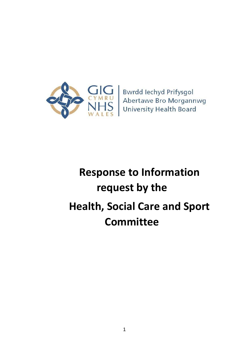

**Bwrdd lechyd Prifysgol** Abertawe Bro Morgannwg **University Health Board** 

# **Response to Information request by the Health, Social Care and Sport Committee**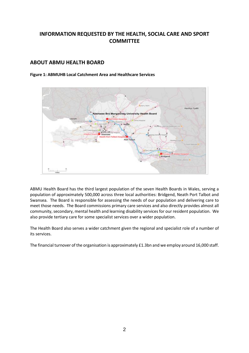# **INFORMATION REQUESTED BY THE HEALTH, SOCIAL CARE AND SPORT COMMITTEE**

## **ABOUT ABMU HEALTH BOARD**

**Figure 1: ABMUHB Local Catchment Area and Healthcare Services**



ABMU Health Board has the third largest population of the seven Health Boards in Wales, serving a population of approximately 500,000 across three local authorities: Bridgend, Neath Port Talbot and Swansea. The Board is responsible for assessing the needs of our population and delivering care to meet those needs. The Board commissions primary care services and also directly provides almost all community, secondary, mental health and learning disability services for our resident population. We also provide tertiary care for some specialist services over a wider population.

The Health Board also serves a wider catchment given the regional and specialist role of a number of its services.

The financial turnover of the organisation is approximately £1.3bn and we employ around 16,000 staff.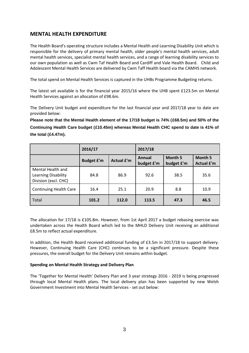# **MENTAL HEALTH EXPENDITURE**

The Health Board's operating structure includes a Mental Health and Learning Disability Unit which is responsible for the delivery of primary mental health, older people's mental health services, adult mental health services, specialist mental health services, and a range of learning disability services to our own population as well as Cwm Taf Health Board and Cardiff and Vale Health Board. Child and Adolescent Mental Health Services are delivered by Cwm Taff Health board via the CAMHS network.

The total spend on Mental Health Services is captured in the UHBs Programme Budgeting returns.

The latest set available is for the financial year 2015/16 where the UHB spent £123.5m on Mental Health Services against an allocation of £98.6m.

The Delivery Unit budget and expenditure for the last financial year and 2017/18 year to date are provided below:

**Please note that the Mental Health element of the 17/18 budget is 74% (£68.5m) and 50% of the Continuing Health Care budget (£10.45m) whereas Mental Health CHC spend to date is 41% of the total (£4.47m).**

|                                                                         | 2016/17           |                   | 2017/18              |                              |                              |
|-------------------------------------------------------------------------|-------------------|-------------------|----------------------|------------------------------|------------------------------|
|                                                                         | <b>Budget £'m</b> | <b>Actual £'m</b> | Annual<br>budget £'m | <b>Month 5</b><br>budget £'m | Month 5<br><b>Actual £'m</b> |
| Mental Health and<br><b>Learning Disability</b><br>Division (excl. CHC) | 84.8              | 86.9              | 92.6                 | 38.5                         | 35.6                         |
| <b>Continuing Health Care</b>                                           | 16.4              | 25.1              | 20.9                 | 8.8                          | 10.9                         |
| Total                                                                   | 101.2             | 112.0             | 113.5                | 47.3                         | 46.5                         |

The allocation for 17/18 is £105.8m. However, from 1st April 2017 a budget rebasing exercise was undertaken across the Health Board which led to the MHLD Delivery Unit receiving an additional £8.5m to reflect actual expenditure.

In addition, the Health Board received additional funding of £3.5m in 2017/18 to support delivery. However, Continuing Health Care (CHC) continues to be a significant pressure. Despite these pressures, the overall budget for the Delivery Unit remains within budget.

## **Spending on Mental Health Strategy and Delivery Plan**

The 'Together for Mental Health' Delivery Plan and 3 year strategy 2016 - 2019 is being progressed through local Mental Health plans. The local delivery plan has been supported by new Welsh Government Investment into Mental Health Services - set out below: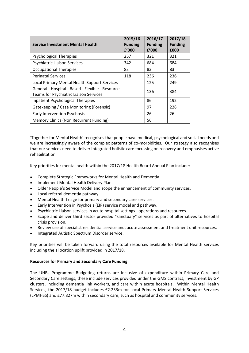| <b>Service Investment Mental Health</b>                                            | 2015/16<br><b>Funding</b><br>f'000 | 2016/17<br><b>Funding</b><br>f'000 | 2017/18<br><b>Funding</b><br>£000 |
|------------------------------------------------------------------------------------|------------------------------------|------------------------------------|-----------------------------------|
| <b>Psychological Therapies</b>                                                     | 257                                | 321                                | 321                               |
| <b>Psychiatric Liaison Services</b>                                                | 342                                | 684                                | 684                               |
| <b>Occupational Therapies</b>                                                      | 83                                 | 83                                 | 83                                |
| <b>Perinatal Services</b>                                                          | 118                                | 236                                | 236                               |
| Local Primary Mental Health Support Services                                       |                                    | 125                                | 249                               |
| General Hospital Based Flexible Resource<br>Teams for Psychiatric Liaison Services |                                    | 136                                | 384                               |
| <b>Inpatient Psychological Therapies</b>                                           |                                    | 86                                 | 192                               |
| Gatekeeping / Case Monitoring (Forensic)                                           |                                    | 97                                 | 228                               |
| <b>Early Intervention Psychosis</b>                                                |                                    | 26                                 | 26                                |
| <b>Memory Clinics (Non Recurrent Funding)</b>                                      |                                    | 56                                 |                                   |

'Together for Mental Health' recognises that people have medical, psychological and social needs and we are increasingly aware of the complex patterns of co-morbidities. Our strategy also recognises that our services need to deliver integrated holistic care focussing on recovery and emphasises active rehabilitation.

Key priorities for mental health within the 2017/18 Health Board Annual Plan include:

- Complete Strategic Frameworks for Mental Health and Dementia.
- Implement Mental Health Delivery Plan.
- Older People's Service Model and scope the enhancement of community services.
- Local referral dementia pathway.
- Mental Health Triage for primary and secondary care services.
- Early Intervention in Psychosis (EIP) service model and pathway.
- Psychiatric Liaison services in acute hospital settings operations and resources.
- Scope and deliver third sector provided "sanctuary" services as part of alternatives to hospital crisis provision.
- Review use of specialist residential service and, acute assessment and treatment unit resources.
- Integrated Autistic Spectrum Disorder service.

Key priorities will be taken forward using the total resources available for Mental Health services including the allocation uplift provided in 2017/18.

## **Resources for Primary and Secondary Care Funding**

The UHBs Programme Budgeting returns are inclusive of expenditure within Primary Care and Secondary Care settings, these include services provided under the GMS contract, investment by GP clusters, including dementia link workers, and care within acute hospitals. Within Mental Health Services, the 2017/18 budget includes £2.233m for Local Primary Mental Health Support Services (LPMHSS) and £77.827m within secondary care, such as hospital and community services.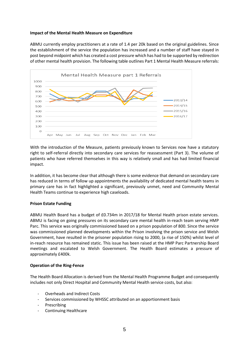## **Impact of the Mental Health Measure on Expenditure**

ABMU currently employ practitioners at a rate of 1.4 per 20k based on the original guidelines. Since the establishment of the service the population has increased and a number of staff have stayed in post beyond midpoint which has created a cost pressure which has had to be supported by redirection of other mental health provision. The following table outlines Part 1 Mental Health Measure referrals:



With the introduction of the Measure, patients previously known to Services now have a statutory right to self-referral directly into secondary care services for reassessment (Part 3). The volume of patients who have referred themselves in this way is relatively small and has had limited financial impact.

In addition, it has become clear that although there is some evidence that demand on secondary care has reduced in terms of follow up appointments the availability of dedicated mental health teams in primary care has in fact highlighted a significant, previously unmet, need and Community Mental Health Teams continue to experience high caseloads.

## **Prison Estate Funding**

ABMU Health Board has a budget of £0.734m in 2017/18 for Mental Health prison estate services. ABMU is facing on going pressures on its secondary care mental health in-reach team serving HMP Parc. This service was originally commissioned based on a prison population of 800. Since the service was commissioned planned developments within the Prison involving the prison service and Welsh Government, have resulted in the prisoner population rising to 2000, (a rise of 150%) whilst level of in-reach resource has remained static. This issue has been raised at the HMP Parc Partnership Board meetings and escalated to Welsh Government. The Health Board estimates a pressure of approximately £400k.

## **Operation of the Ring-Fence**

The Health Board Allocation is derived from the Mental Health Programme Budget and consequently includes not only Direct Hospital and Community Mental Health service costs, but also:

- Overheads and Indirect Costs
- Services commissioned by WHSSC attributed on an apportionment basis
- **Prescribing**
- Continuing Healthcare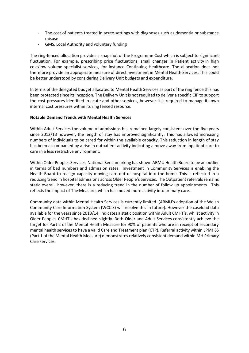- The cost of patients treated in acute settings with diagnoses such as dementia or substance misuse
- GMS, Local Authority and voluntary funding

The ring-fenced allocation provides a snapshot of the Programme Cost which is subject to significant fluctuation. For example, prescribing price fluctuations, small changes in Patient activity in high cost/low volume specialist services, for instance Continuing Healthcare. The allocation does not therefore provide an appropriate measure of direct investment in Mental Health Services. This could be better understood by considering Delivery Unit budgets and expenditure.

In terms of the delegated budget allocated to Mental Health Services as part of the ring fence this has been protected since its inception. The Delivery Unit is not required to deliver a specific CIP to support the cost pressures identified in acute and other services, however it is required to manage its own internal cost pressures within its ring fenced resource.

## **Notable Demand Trends with Mental Health Services**

Within Adult Services the volume of admissions has remained largely consistent over the five years since 2012/13 however, the length of stay has improved significantly. This has allowed increasing numbers of individuals to be cared for within the available capacity. This reduction in length of stay has been accompanied by a rise in outpatient activity indicating a move away from inpatient care to care in a less restrictive environment.

Within Older Peoples Services, National Benchmarking has shown ABMU Health Board to be an outlier in terms of bed numbers and admission rates. Investment in Community Services is enabling the Health Board to realign capacity moving care out of hospital into the home. This is reflected in a reducing trend in hospital admissions across Older People's Services. The Outpatient referrals remains static overall, however, there is a reducing trend in the number of follow up appointments. This reflects the impact of The Measure, which has moved more activity into primary care.

Community data within Mental Health Services is currently limited. (ABMU's adoption of the Welsh Community Care Information System (WCCIS) will resolve this in future). However the caseload data available for the years since 2013/14, indicates a static position within Adult CMHT's, whilst activity in Older Peoples CMHT's has declined slightly. Both Older and Adult Services consistently achieve the target for Part 2 of the Mental Health Measure for 90% of patients who are in receipt of secondary mental health services to have a valid Care and Treatment plan (CTP). Referral activity within LPMHSS (Part 1 of the Mental Health Measure) demonstrates relatively consistent demand within MH Primary Care services.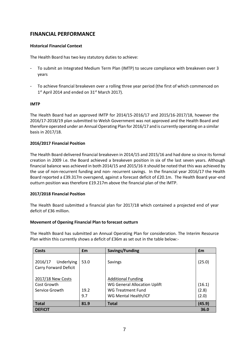# **FINANCIAL PERFORMANCE**

## **Historical Financial Context**

The Health Board has two key statutory duties to achieve:

- To submit an Integrated Medium Term Plan (IMTP) to secure compliance with breakeven over 3 years
- To achieve financial breakeven over a rolling three year period (the first of which commenced on 1<sup>st</sup> April 2014 and ended on 31<sup>st</sup> March 2017).

## **IMTP**

The Health Board had an approved IMTP for 2014/15-2016/17 and 2015/16-2017/18, however the 2016/17-2018/19 plan submitted to Welsh Government was not approved and the Health Board and therefore operated under an Annual Operating Plan for 2016/17 and is currently operating on a similar basis in 2017/18.

## **2016/2017 Financial Position**

The Health Board delivered financial breakeven in 2014/15 and 2015/16 and had done so since its formal creation in 2009 i.e. the Board achieved a breakeven position in six of the last seven years. Although financial balance was achieved in both 2014/15 and 2015/16 it should be noted that this was achieved by the use of non-recurrent funding and non- recurrent savings. In the financial year 2016/17 the Health Board reported a £39.317m overspend, against a forecast deficit of £20.1m. The Health Board year-end outturn position was therefore £19.217m above the financial plan of the IMTP.

## **2017/2018 Financial Position**

The Health Board submitted a financial plan for 2017/18 which contained a projected end of year deficit of £36 million.

## **Movement of Opening Financial Plan to forecast outturn**

The Health Board has submitted an Annual Operating Plan for consideration. The Interim Resource Plan within this currently shows a deficit of £36m as set out in the table below:-

| Costs                                              | £m          | Savings/Funding                                                                                               | £m                       |
|----------------------------------------------------|-------------|---------------------------------------------------------------------------------------------------------------|--------------------------|
| 2016/17<br>Underlying<br>Carry Forward Deficit     | 53.0        | Savings                                                                                                       | (25.0)                   |
| 2017/18 New Costs<br>Cost Growth<br>Service Growth | 19.2<br>9.7 | <b>Additional Funding</b><br><b>WG General Allocation Uplift</b><br>WG Treatment Fund<br>WG Mental Health/ICF | (16.1)<br>(2.8)<br>(2.0) |
| <b>Total</b>                                       | 81.9        | <b>Total</b>                                                                                                  | (45.9)                   |
| <b>DEFICIT</b><br>36.0                             |             |                                                                                                               |                          |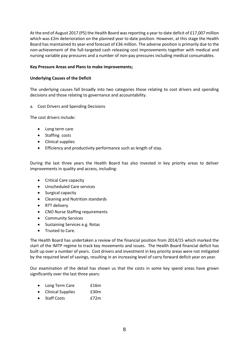At the end of August 2017 (P5) the Health Board was reporting a year to date deficit of £17,007 million which was £2m deterioration on the planned year to date position. However, at this stage the Health Board has maintained its year-end forecast of £36 million. The adverse position is primarily due to the non-achievement of the full-targeted cash releasing cost improvements together with medical and nursing variable pay pressures and a number of non-pay pressures including medical consumables.

## **Key Pressure Areas and Plans to make improvements;**

## **Underlying Causes of the Deficit**

The underlying causes fall broadly into two categories those relating to cost drivers and spending decisions and those relating to governance and accountability.

a. Cost Drivers and Spending Decisions

The cost drivers include:

- Long term care
- Staffing costs
- Clinical supplies
- **Efficiency and productivity performance such as length of stay.**

During the last three years the Health Board has also invested in key priority areas to deliver improvements in quality and access, including:

- Critical Care capacity
- Unscheduled Care services
- Surgical capacity
- Cleaning and Nutrition standards
- RTT delivery
- CNO Nurse Staffing requirements
- Community Services
- Sustaining Services e.g. Rotas
- Trusted to Care.

The Health Board has undertaken a review of the financial position from 2014/15 which marked the start of the IMTP regime to track key movements and issues. The Health Board financial deficit has built up over a number of years. Cost drivers and investment in key priority areas were not mitigated by the required level of savings, resulting in an increasing level of carry forward deficit year on year.

Our examination of the detail has shown us that the costs in some key spend areas have grown significantly over the last three years:

- Long Term Care **E16m**
- Clinical Supplies **E30m**
- Staff Costs **£72m**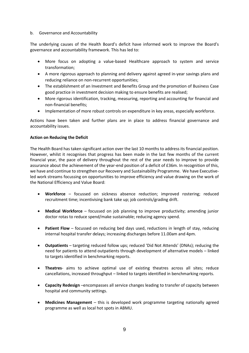## b. Governance and Accountability

The underlying causes of the Health Board's deficit have informed work to improve the Board's governance and accountability framework. This has led to:

- More focus on adopting a value-based Healthcare approach to system and service transformation;
- A more rigorous approach to planning and delivery against agreed in-year savings plans and reducing reliance on non-recurrent opportunities;
- The establishment of an Investment and Benefits Group and the promotion of Business Case good practice in investment decision making to ensure benefits are realised;
- More rigorous identification, tracking, measuring, reporting and accounting for financial and non-financial benefits;
- Implementation of more robust controls on expenditure in key areas, especially workforce.

Actions have been taken and further plans are in place to address financial governance and accountability issues.

## **Action on Reducing the Deficit**

The Health Board has taken significant action over the last 10 months to address its financial position. However, whilst it recognises that progress has been made in the last few months of the current financial year, the pace of delivery throughout the rest of the year needs to improve to provide assurance about the achievement of the year-end position of a deficit of £36m. In recognition of this, we have and continue to strengthen our Recovery and Sustainability Programme. We have Executiveled work streams focussing on opportunities to improve efficiency and value drawing on the work of the National Efficiency and Value Board:

- **Workforce** focussed on sickness absence reduction; improved rostering; reduced recruitment time; incentivising bank take up; job controls/grading drift.
- **Medical Workforce** focussed on job planning to improve productivity; amending junior doctor rotas to reduce spend/make sustainable; reducing agency spend.
- **Patient Flow** focussed on reducing bed days used, reductions in length of stay, reducing internal hospital transfer delays; increasing discharges before 11.00am and 4pm.
- **Outpatients** targeting reduced follow ups; reduced 'Did Not Attends' (DNAs); reducing the need for patients to attend outpatients through development of alternative models – linked to targets identified in benchmarking reports.
- **Theatres** aims to achieve optimal use of existing theatres across all sites; reduce cancellations, increased throughput – linked to targets identified in benchmarking reports.
- **Capacity Redesign** –encompasses all service changes leading to transfer of capacity between hospital and community settings.
- **Medicines Management** this is developed work programme targeting nationally agreed programme as well as local hot spots in ABMU.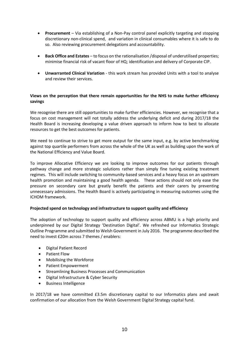- **Procurement**  Via establishing of a Non-Pay control panel explicitly targeting and stopping discretionary non-clinical spend, and variation in clinical consumables where it is safe to do so. Also reviewing procurement delegations and accountability.
- **Back Office and Estates** to focus on the rationalisation /disposal of underutilised properties; minimise financial risk of vacant floor of HQ; identification and delivery of Corporate CIP.
- **Unwarranted Clinical Variation** this work stream has provided Units with a tool to analyse and review their services.

## **Views on the perception that there remain opportunities for the NHS to make further efficiency savings**

We recognise there are still opportunities to make further efficiencies. However, we recognise that a focus on cost management will not totally address the underlying deficit and during 2017/18 the Health Board is increasing developing a value driven approach to inform how to best to allocate resources to get the best outcomes for patients.

We need to continue to strive to get more output for the same input, e.g. by active benchmarking against top quartile performers from across the whole of the UK as well as building upon the work of the National Efficiency and Value Board.

To improve Allocative Efficiency we are looking to improve outcomes for our patients through pathway change and more strategic solutions rather than simply fine tuning existing treatment regimes. This will include switching to community-based services and a heavy focus on an upstream health promotion and maintaining a good health agenda. These actions should not only ease the pressure on secondary care but greatly benefit the patients and their carers by preventing unnecessary admissions. The Health Board is actively participating in measuring outcomes using the ICHOM framework.

## **Projected spend on technology and infrastructure to support quality and efficiency**

The adoption of technology to support quality and efficiency across ABMU is a high priority and underpinned by our Digital Strategy 'Destination Digital'. We refreshed our Informatics Strategic Outline Programme and submitted to Welsh Government in July 2016. The programme described the need to invest £20m across 7 themes / enablers:

- Digital Patient Record
- Patient Flow
- Mobilising the Workforce
- Patient Empowerment
- Streamlining Business Processes and Communication
- Digital Infrastructure & Cyber Security
- Business Intelligence

In 2017/18 we have committed £3.5m discretionary capital to our Informatics plans and await confirmation of our allocation from the Welsh Government Digital Strategy capital fund.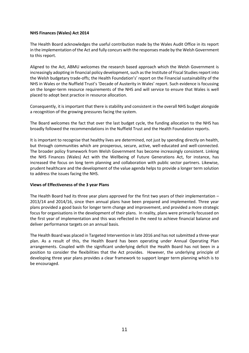## **NHS Finances (Wales) Act 2014**

The Health Board acknowledges the useful contribution made by the Wales Audit Office in its report in the implementation of the Act and fully concurs with the responses made by the Welsh Government to this report.

Aligned to the Act, ABMU welcomes the research based approach which the Welsh Government is increasingly adopting in financial policy development, such as the Institute of Fiscal Studies report into the Welsh budgetary trade-offs; the Health Foundation's' report on the Financial sustainability of the NHS in Wales or the Nuffield Trust's 'Decade of Austerity in Wales' report. Such evidence is focussing on the longer-term resource requirements of the NHS and will service to ensure that Wales is well placed to adopt best practice in resource allocation.

Consequently, it is important that there is stability and consistent in the overall NHS budget alongside a recognition of the growing pressures facing the system.

The Board welcomes the fact that over the last budget cycle, the funding allocation to the NHS has broadly followed the recommendations in the Nuffield Trust and the Health Foundation reports.

It is important to recognise that healthy lives are determined, not just by spending directly on health, but through communities which are prosperous, secure, active, well-educated and well-connected. The broader policy framework from Welsh Government has become increasingly consistent. Linking the NHS Finances (Wales) Act with the Wellbeing of Future Generations Act, for instance, has increased the focus on long term planning and collaboration with public sector partners. Likewise, prudent healthcare and the development of the value agenda helps to provide a longer term solution to address the issues facing the NHS.

## **Views of Effectiveness of the 3 year Plans**

The Health Board had its three year plans approved for the first two years of their implementation – 2013/14 and 2014/16, since then annual plans have been prepared and implemented. Three year plans provided a good basis for longer term change and improvement, and provided a more strategic focus for organisations in the development of their plans. In reality, plans were primarily focussed on the first year of implementation and this was reflected in the need to achieve financial balance and deliver performance targets on an annual basis.

The Health Board was placed in Targeted Intervention in late 2016 and has not submitted a three-year plan. As a result of this, the Health Board has been operating under Annual Operating Plan arrangements. Coupled with the significant underlying deficit the Health Board has not been in a position to consider the flexibilities that the Act provides. However, the underlying principle of developing three year plans provides a clear framework to support longer term planning which is to be encouraged.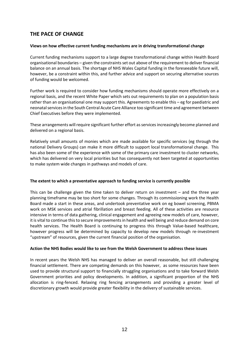# **THE PACE OF CHANGE**

## **Views on how effective current funding mechanisms are in driving transformational change**

Current funding mechanisms support to a large degree transformational change within Health Board organisational boundaries – given the constraints set out above of the requirement to deliver financial balance on an annual basis. The shortage of NHS Wales Capital funding in the foreseeable future will, however, be a constraint within this, and further advice and support on securing alternative sources of funding would be welcomed.

Further work is required to consider how funding mechanisms should operate more effectively on a regional basis, and the recent White Paper which sets out requirements to plan on a population basis rather than an organisational one may support this. Agreements to enable this – eg for paediatric and neonatal services in the South Central Acute Care Alliance too significant time and agreement between Chief Executives before they were implemented.

These arrangements will require significant further effort as services increasingly become planned and delivered on a regional basis.

Relatively small amounts of monies which are made available for specific services (eg through the national Delivery Groups) can make it more difficult to support local transformational change. This has also been some of the experience with some of the primary care investment to cluster networks, which has delivered on very local priorities but has consequently not been targeted at opportunities to make system wide changes in pathways and models of care.

## **The extent to which a preventative approach to funding service is currently possible**

This can be challenge given the time taken to deliver return on investment – and the three year planning timeframe may be too short for some changes. Through its commissioning work the Health Board made a start in these areas, and undertook preventative work on eg bowel screening, PBMA work on MSK services and atrial fibrillation and breast feeding. All of these activities are resource intensive in terms of data gathering, clinical engagement and agreeing new models of care, however, it is vital to continue this to secure improvements in health and well being and reduce demand on core health services. The Health Board is continuing to progress this through Value-based healthcare, however progress will be determined by capacity to develop new models through re-investment "upstream" of resources, given the current financial position of the organisation.

## **Action the NHS Bodies would like to see from the Welsh Government to address these issues**

In recent years the Welsh NHS has managed to deliver an overall reasonable, but still challenging financial settlement. There are competing demands on this however, as some resources have been used to provide structural support to financially struggling organisations and to take forward Welsh Government priorities and policy developments. In addition, a significant proportion of the NHS allocation is ring-fenced. Relaxing ring fencing arrangements and providing a greater level of discretionary growth would provide greater flexibility in the delivery of sustainable services.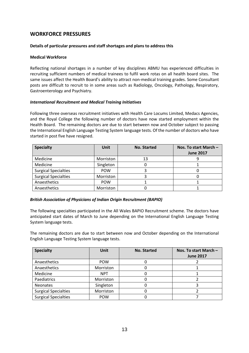# **WORKFORCE PRESSURES**

## **Details of particular pressures and staff shortages and plans to address this**

## **Medical Workforce**

Reflecting national shortages in a number of key disciplines ABMU has experienced difficulties in recruiting sufficient numbers of medical trainees to fulfil work rotas on all health board sites. The same issues affect the Health Board's ability to attract non-medical training grades. Some Consultant posts are difficult to recruit to in some areas such as Radiology, Oncology, Pathology, Respiratory, Gastroenterology and Psychiatry.

## *International Recruitment and Medical Training Initiatives*

Following three overseas recruitment initiatives with Health Care Locums Limited, Medacs Agencies, and the Royal College the following number of doctors have now started employment within the Health Board. The remaining doctors are due to start between now and October subject to passing the International English Language Testing System language tests. Of the number of doctors who have started in post five have resigned.

| <b>Specialty</b>            | <b>Unit</b> | <b>No. Started</b> | Nos. To start March -<br><b>June 2017</b> |
|-----------------------------|-------------|--------------------|-------------------------------------------|
| Medicine                    | Morriston   | 13                 |                                           |
| Medicine                    | Singleton   |                    |                                           |
| <b>Surgical Specialties</b> | <b>POW</b>  |                    |                                           |
| <b>Surgical Specialties</b> | Morriston   |                    |                                           |
| Anaesthetics                | <b>POW</b>  |                    |                                           |
| Anaesthetics                | Morriston   |                    |                                           |

## *British Association of Physicians of Indian Origin Recruitment (BAPIO)*

The following specialties participated in the All Wales BAPIO Recruitment scheme. The doctors have anticipated start dates of March to June depending on the International English Language Testing System language tests.

The remaining doctors are due to start between now and October depending on the International English Language Testing System language tests.

| <b>Specialty</b>            | <b>Unit</b> | <b>No. Started</b> | Nos. To start March $-$<br><b>June 2017</b> |
|-----------------------------|-------------|--------------------|---------------------------------------------|
| Anaesthetics                | <b>POW</b>  |                    |                                             |
| Anaesthetics                | Morriston   |                    |                                             |
| Medicine                    | <b>NPT</b>  |                    |                                             |
| Paediatrics                 | Morriston   |                    |                                             |
| <b>Neonates</b>             | Singleton   |                    |                                             |
| <b>Surgical Specialties</b> | Morriston   |                    |                                             |
| <b>Surgical Specialties</b> | <b>POW</b>  |                    |                                             |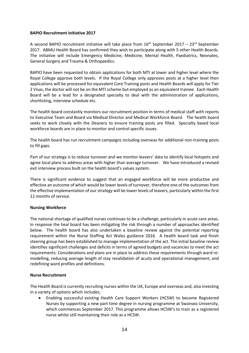## **BAPIO Recruitment Initiative 2017**

A second BAPIO recruitment initiative will take place from  $16<sup>th</sup>$  September 2017 – 23<sup>rd</sup> September 2017. ABMU Health Board has confirmed they wish to participate along with 5 other Health Boards. The initiative will include Emergency Medicine, Medicine, Mental Health, Paediatrics, Neonates, General Surgery and Trauma & Orthopaedics.

BAPIO have been requested to obtain applications for both MTI at lower and higher level where the Royal College approve both levels. If the Royal College only approves posts at a higher level then applications will be processed for equivalent Core Training posts and Health Boards will apply for Tier 2 Visas, the doctor will not be on the MTI scheme but employed as an equivalent trainee. Each Health Board will be a lead for a designated specialty to deal with the administration of applications, shortlisting, interview schedule etc.

The health board constantly monitors our recruitment position in terms of medical staff with reports to Executive Team and Board via Medical Director and Medical Workforce Board. The health board seeks to work closely with the Deanery to ensure training posts are filled. Specialty based local workforce boards are in place to monitor and control specific issues.

The health board has run recruitment campaigns including overseas for additional non-training posts to fill gaps.

Part of our strategy is to reduce turnover and we monitor leavers' data to identify local hotspots and agree local plans to address areas with higher than average turnover. We have introduced a revised exit interview process built on the health board's values system.

There is significant evidence to suggest that an engaged workforce will be more productive and effective an outcome of which would be lower levels of turnover, therefore one of the outcomes from the effective implementation of our strategy will be lower levels of leavers, particularly within the first 12 months of service.

## **Nursing Workforce**

The national shortage of qualified nurses continues to be a challenge, particularly in acute care areas. In response the heal board has been mitigating the risk through a number of approaches identified below. The health board has also undertaken a baseline review against the potential reporting requirement within the Nurse Staffing Act Wales guidance 2016. A health board task and finish steering group has been established to manage implementation of the act. The initial baseline review identifies significant challenges and deficits in terms of agreed budgets and vacancies to meet the act requirements. Considerations and plans are in place to address these requirements through ward remodelling, reducing average length of stay revalidation of acuity and operational management, and redefining ward profiles and definitions.

## **Nurse Recruitment**

The Health Board is currently recruiting nurses within the UK, Europe and overseas and, also investing in a variety of options which includes;

 Enabling successful existing Health Care Support Workers (HCSW) to become Registered Nurses by supporting a new part time degree in nursing programme at Swansea University, which commences September 2017. This programme allows HCSW's to train as a registered nurse whilst still maintaining their role as a HCSW.